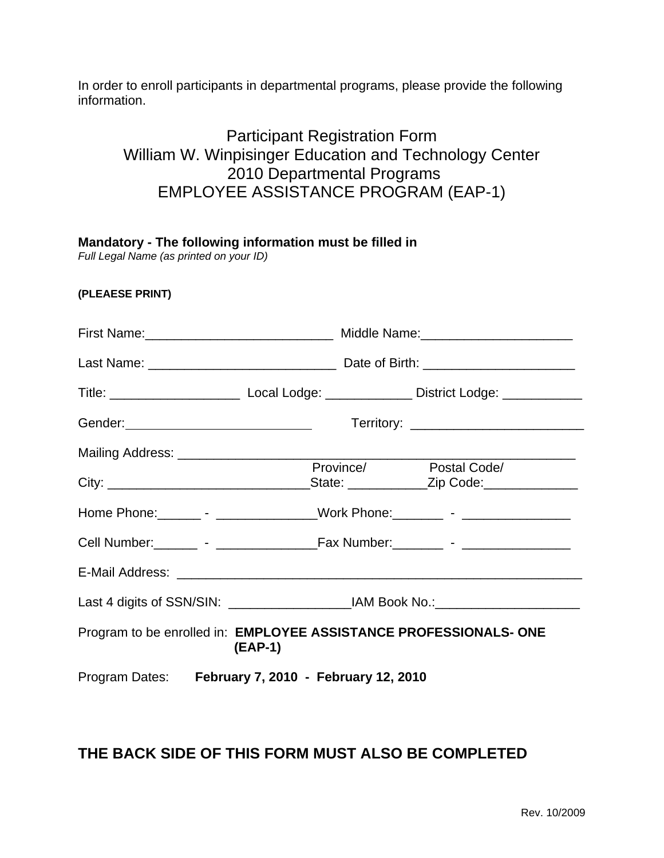In order to enroll participants in departmental programs, please provide the following information.

## Participant Registration Form William W. Winpisinger Education and Technology Center 2010 Departmental Programs EMPLOYEE ASSISTANCE PROGRAM (EAP-1)

| Mandatory - The following information must be filled in<br>Full Legal Name (as printed on your ID) |                                            |                                                                                  |                                                                                                           |  |  |
|----------------------------------------------------------------------------------------------------|--------------------------------------------|----------------------------------------------------------------------------------|-----------------------------------------------------------------------------------------------------------|--|--|
| (PLEAESE PRINT)                                                                                    |                                            |                                                                                  |                                                                                                           |  |  |
|                                                                                                    |                                            | First Name: __________________________________ Middle Name: ____________________ |                                                                                                           |  |  |
|                                                                                                    |                                            |                                                                                  |                                                                                                           |  |  |
|                                                                                                    |                                            |                                                                                  | Title: __________________________________Local Lodge: __________________District Lodge: _________________ |  |  |
|                                                                                                    | Gender: __________________________________ |                                                                                  |                                                                                                           |  |  |
| Mailing Address: _______________________                                                           |                                            |                                                                                  |                                                                                                           |  |  |
|                                                                                                    |                                            |                                                                                  | Province/ Postal Code/                                                                                    |  |  |
|                                                                                                    |                                            |                                                                                  | Home Phone: _________ - ________________Work Phone: ________ - _________________                          |  |  |
|                                                                                                    |                                            |                                                                                  |                                                                                                           |  |  |
|                                                                                                    |                                            |                                                                                  |                                                                                                           |  |  |
|                                                                                                    |                                            |                                                                                  |                                                                                                           |  |  |
| Program to be enrolled in: EMPLOYEE ASSISTANCE PROFESSIONALS- ONE<br>(EAP-1)                       |                                            |                                                                                  |                                                                                                           |  |  |
| Program Dates: February 7, 2010 - February 12, 2010                                                |                                            |                                                                                  |                                                                                                           |  |  |

## **THE BACK SIDE OF THIS FORM MUST ALSO BE COMPLETED**